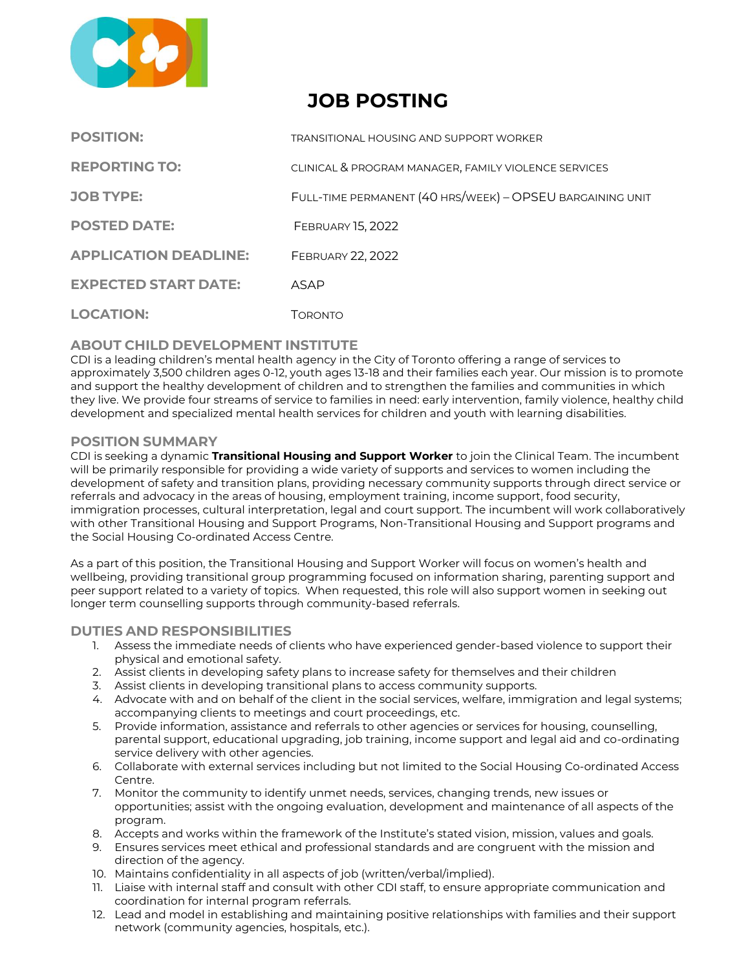

# **JOB POSTING**

| <b>POSITION:</b>             | TRANSITIONAL HOUSING AND SUPPORT WORKER                   |
|------------------------------|-----------------------------------------------------------|
| <b>REPORTING TO:</b>         | CLINICAL & PROGRAM MANAGER, FAMILY VIOLENCE SERVICES      |
| <b>JOB TYPE:</b>             | FULL-TIME PERMANENT (40 HRS/WEEK) - OPSEU BARGAINING UNIT |
| <b>POSTED DATE:</b>          | <b>FEBRUARY 15, 2022</b>                                  |
| <b>APPLICATION DEADLINE:</b> | FEBRUARY 22, 2022                                         |
| <b>EXPECTED START DATE:</b>  | ASAP                                                      |
| <b>LOCATION:</b>             | Toronto                                                   |

# **ABOUT CHILD DEVELOPMENT INSTITUTE**

CDI is a leading children's mental health agency in the City of Toronto offering a range of services to approximately 3,500 children ages 0‐12, youth ages 13-18 and their families each year. Our mission is to promote and support the healthy development of children and to strengthen the families and communities in which they live. We provide four streams of service to families in need: early intervention, family violence, healthy child development and specialized mental health services for children and youth with learning disabilities.

# **POSITION SUMMARY**

CDI is seeking a dynamic **Transitional Housing and Support Worker** to join the Clinical Team. The incumbent will be primarily responsible for providing a wide variety of supports and services to women including the development of safety and transition plans, providing necessary community supports through direct service or referrals and advocacy in the areas of housing, employment training, income support, food security, immigration processes, cultural interpretation, legal and court support. The incumbent will work collaboratively with other Transitional Housing and Support Programs, Non-Transitional Housing and Support programs and the Social Housing Co-ordinated Access Centre.

As a part of this position, the Transitional Housing and Support Worker will focus on women's health and wellbeing, providing transitional group programming focused on information sharing, parenting support and peer support related to a variety of topics. When requested, this role will also support women in seeking out longer term counselling supports through community-based referrals.

# **DUTIES AND RESPONSIBILITIES**

- 1. Assess the immediate needs of clients who have experienced gender-based violence to support their physical and emotional safety.
- 2. Assist clients in developing safety plans to increase safety for themselves and their children
- 3. Assist clients in developing transitional plans to access community supports.
- 4. Advocate with and on behalf of the client in the social services, welfare, immigration and legal systems; accompanying clients to meetings and court proceedings, etc.
- 5. Provide information, assistance and referrals to other agencies or services for housing, counselling, parental support, educational upgrading, job training, income support and legal aid and co-ordinating service delivery with other agencies.
- 6. Collaborate with external services including but not limited to the Social Housing Co-ordinated Access Centre.
- 7. Monitor the community to identify unmet needs, services, changing trends, new issues or opportunities; assist with the ongoing evaluation, development and maintenance of all aspects of the program.
- 8. Accepts and works within the framework of the Institute's stated vision, mission, values and goals.
- 9. Ensures services meet ethical and professional standards and are congruent with the mission and direction of the agency.
- 10. Maintains confidentiality in all aspects of job (written/verbal/implied).
- 11. Liaise with internal staff and consult with other CDI staff, to ensure appropriate communication and coordination for internal program referrals.
- 12. Lead and model in establishing and maintaining positive relationships with families and their support network (community agencies, hospitals, etc.).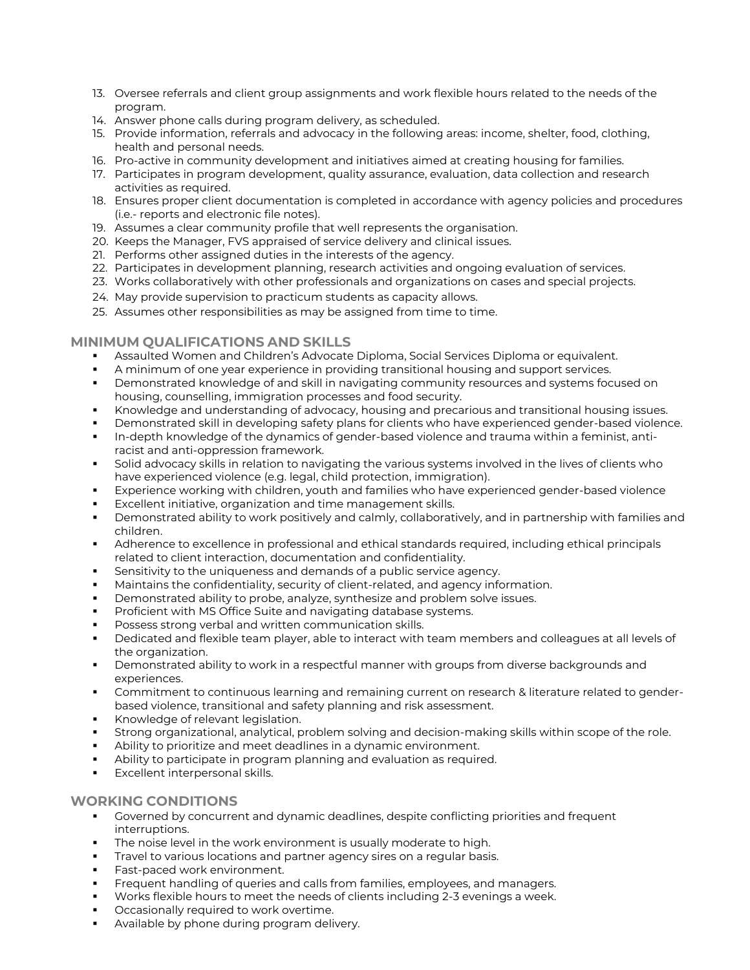- 13. Oversee referrals and client group assignments and work flexible hours related to the needs of the program.
- 14. Answer phone calls during program delivery, as scheduled.
- 15. Provide information, referrals and advocacy in the following areas: income, shelter, food, clothing, health and personal needs.
- 16. Pro-active in community development and initiatives aimed at creating housing for families.
- 17. Participates in program development, quality assurance, evaluation, data collection and research activities as required.
- 18. Ensures proper client documentation is completed in accordance with agency policies and procedures (i.e.- reports and electronic file notes).
- 19. Assumes a clear community profile that well represents the organisation.
- 20. Keeps the Manager, FVS appraised of service delivery and clinical issues.
- 21. Performs other assigned duties in the interests of the agency.
- 22. Participates in development planning, research activities and ongoing evaluation of services.
- 23. Works collaboratively with other professionals and organizations on cases and special projects.
- 24. May provide supervision to practicum students as capacity allows.
- 25. Assumes other responsibilities as may be assigned from time to time.

# **MINIMUM QUALIFICATIONS AND SKILLS**

- Assaulted Women and Children's Advocate Diploma, Social Services Diploma or equivalent.
- A minimum of one year experience in providing transitional housing and support services.
- **•** Demonstrated knowledge of and skill in navigating community resources and systems focused on housing, counselling, immigration processes and food security.
- Knowledge and understanding of advocacy, housing and precarious and transitional housing issues.
- Demonstrated skill in developing safety plans for clients who have experienced gender-based violence.
- In-depth knowledge of the dynamics of gender-based violence and trauma within a feminist, antiracist and anti-oppression framework.
- Solid advocacy skills in relation to navigating the various systems involved in the lives of clients who have experienced violence (e.g. legal, child protection, immigration).
- **Experience working with children, youth and families who have experienced gender-based violence**
- Excellent initiative, organization and time management skills.
- **•** Demonstrated ability to work positively and calmly, collaboratively, and in partnership with families and children.
- **•** Adherence to excellence in professional and ethical standards required, including ethical principals related to client interaction, documentation and confidentiality.
- **EXE** Sensitivity to the uniqueness and demands of a public service agency.
- Maintains the confidentiality, security of client-related, and agency information.
- Demonstrated ability to probe, analyze, synthesize and problem solve issues.
- Proficient with MS Office Suite and navigating database systems.
- Possess strong verbal and written communication skills.
- Dedicated and flexible team player, able to interact with team members and colleagues at all levels of the organization.
- Demonstrated ability to work in a respectful manner with groups from diverse backgrounds and experiences.
- Commitment to continuous learning and remaining current on research & literature related to genderbased violence, transitional and safety planning and risk assessment.
- Knowledge of relevant legislation.
- Strong organizational, analytical, problem solving and decision-making skills within scope of the role.
- Ability to prioritize and meet deadlines in a dynamic environment.
- Ability to participate in program planning and evaluation as required.
- **Excellent interpersonal skills.**

# **WORKING CONDITIONS**

- **•** Governed by concurrent and dynamic deadlines, despite conflicting priorities and frequent interruptions.
- **The noise level in the work environment is usually moderate to high.**
- Travel to various locations and partner agency sires on a regular basis.
- Fast-paced work environment.
- Frequent handling of queries and calls from families, employees, and managers.
- Works flexible hours to meet the needs of clients including 2-3 evenings a week.
- Occasionally required to work overtime.
- Available by phone during program delivery.